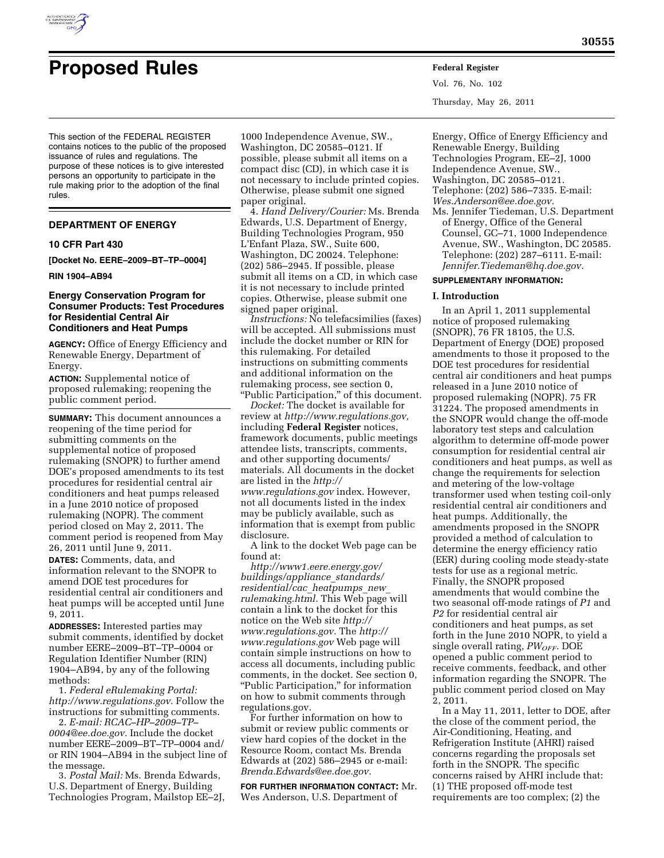

# **Proposed Rules Federal Register**

Vol. 76, No. 102 Thursday, May 26, 2011

This section of the FEDERAL REGISTER contains notices to the public of the proposed issuance of rules and regulations. The purpose of these notices is to give interested persons an opportunity to participate in the rule making prior to the adoption of the final rules.

# **DEPARTMENT OF ENERGY**

#### **10 CFR Part 430**

**[Docket No. EERE–2009–BT–TP–0004]** 

#### **RIN 1904–AB94**

# **Energy Conservation Program for Consumer Products: Test Procedures for Residential Central Air Conditioners and Heat Pumps**

**AGENCY:** Office of Energy Efficiency and Renewable Energy, Department of Energy.

**ACTION:** Supplemental notice of proposed rulemaking; reopening the public comment period.

**SUMMARY:** This document announces a reopening of the time period for submitting comments on the supplemental notice of proposed rulemaking (SNOPR) to further amend DOE's proposed amendments to its test procedures for residential central air conditioners and heat pumps released in a June 2010 notice of proposed rulemaking (NOPR). The comment period closed on May 2, 2011. The comment period is reopened from May 26, 2011 until June 9, 2011.

**DATES:** Comments, data, and information relevant to the SNOPR to amend DOE test procedures for residential central air conditioners and heat pumps will be accepted until June 9, 2011.

**ADDRESSES:** Interested parties may submit comments, identified by docket number EERE–2009–BT–TP–0004 or Regulation Identifier Number (RIN) 1904–AB94, by any of the following methods:

1. *Federal eRulemaking Portal: [http://www.regulations.gov.](http://www.regulations.gov)* Follow the instructions for submitting comments.

2. *E-mail: [RCAC–HP–2009–TP–](mailto:RCAC-HP-2009-TP-0004@ee.doe.gov)  [0004@ee.doe.gov.](mailto:RCAC-HP-2009-TP-0004@ee.doe.gov)* Include the docket number EERE–2009–BT–TP–0004 and/ or RIN 1904–AB94 in the subject line of the message.

3. *Postal Mail:* Ms. Brenda Edwards, U.S. Department of Energy, Building Technologies Program, Mailstop EE–2J,

1000 Independence Avenue, SW., Washington, DC 20585–0121. If possible, please submit all items on a compact disc (CD), in which case it is not necessary to include printed copies. Otherwise, please submit one signed paper original.

4. *Hand Delivery/Courier:* Ms. Brenda Edwards, U.S. Department of Energy, Building Technologies Program, 950 L'Enfant Plaza, SW., Suite 600, Washington, DC 20024. Telephone: (202) 586–2945. If possible, please submit all items on a CD, in which case it is not necessary to include printed copies. Otherwise, please submit one signed paper original.

*Instructions:* No telefacsimilies (faxes) will be accepted. All submissions must include the docket number or RIN for this rulemaking. For detailed instructions on submitting comments and additional information on the rulemaking process, see section 0, ''Public Participation,'' of this document.

*Docket:* The docket is available for review at *[http://www.regulations.gov,](http://www.regulations.gov)*  including **Federal Register** notices, framework documents, public meetings attendee lists, transcripts, comments, and other supporting documents/ materials. All documents in the docket are listed in the *[http://](http://www.regulations.gov) [www.regulations.gov](http://www.regulations.gov)* index. However, not all documents listed in the index may be publicly available, such as information that is exempt from public disclosure.

A link to the docket Web page can be found at:

*[http://www1.eere.energy.gov/](http://www1.eere.energy.gov/buildings/appliance_standards/residential/cac_heatpumps_new_rulemaking.html) [buildings/appliance](http://www1.eere.energy.gov/buildings/appliance_standards/residential/cac_heatpumps_new_rulemaking.html)*\_*standards/ [residential/cac](http://www1.eere.energy.gov/buildings/appliance_standards/residential/cac_heatpumps_new_rulemaking.html)*\_*heatpumps*\_*new*\_ *[rulemaking.html.](http://www1.eere.energy.gov/buildings/appliance_standards/residential/cac_heatpumps_new_rulemaking.html)* This Web page will contain a link to the docket for this notice on the Web site *[http://](http://www.regulations.gov)  [www.regulations.gov.](http://www.regulations.gov)* The *[http://](http://www.regulations.gov)  [www.regulations.gov](http://www.regulations.gov)* Web page will contain simple instructions on how to access all documents, including public comments, in the docket. See section 0, ''Public Participation,'' for information on how to submit comments through regulations.gov.

For further information on how to submit or review public comments or view hard copies of the docket in the Resource Room, contact Ms. Brenda Edwards at (202) 586–2945 or e-mail: *[Brenda.Edwards@ee.doe.gov.](mailto:Brenda.Edwards@ee.doe.gov)* 

**FOR FURTHER INFORMATION CONTACT:** Mr. Wes Anderson, U.S. Department of

Energy, Office of Energy Efficiency and Renewable Energy, Building Technologies Program, EE–2J, 1000 Independence Avenue, SW., Washington, DC 20585–0121.

Telephone: (202) 586–7335. E-mail:

- *[Wes.Anderson@ee.doe.gov.](mailto:Wes.Anderson@ee.doe.gov)*
- Ms. Jennifer Tiedeman, U.S. Department of Energy, Office of the General Counsel, GC–71, 1000 Independence Avenue, SW., Washington, DC 20585. Telephone: (202) 287–6111. E-mail: *[Jennifer.Tiedeman@hq.doe.gov.](mailto:Jennifer.Tiedeman@hq.doe.gov)*

## **SUPPLEMENTARY INFORMATION:**

#### **I. Introduction**

In an April 1, 2011 supplemental notice of proposed rulemaking (SNOPR), 76 FR 18105, the U.S. Department of Energy (DOE) proposed amendments to those it proposed to the DOE test procedures for residential central air conditioners and heat pumps released in a June 2010 notice of proposed rulemaking (NOPR). 75 FR 31224. The proposed amendments in the SNOPR would change the off-mode laboratory test steps and calculation algorithm to determine off-mode power consumption for residential central air conditioners and heat pumps, as well as change the requirements for selection and metering of the low-voltage transformer used when testing coil-only residential central air conditioners and heat pumps. Additionally, the amendments proposed in the SNOPR provided a method of calculation to determine the energy efficiency ratio (EER) during cooling mode steady-state tests for use as a regional metric. Finally, the SNOPR proposed amendments that would combine the two seasonal off-mode ratings of *P1* and *P2* for residential central air conditioners and heat pumps, as set forth in the June 2010 NOPR, to yield a single overall rating, *PWOFF*. DOE opened a public comment period to receive comments, feedback, and other information regarding the SNOPR. The public comment period closed on May 2, 2011.

In a May 11, 2011, letter to DOE, after the close of the comment period, the Air-Conditioning, Heating, and Refrigeration Institute (AHRI) raised concerns regarding the proposals set forth in the SNOPR. The specific concerns raised by AHRI include that: (1) THE proposed off-mode test requirements are too complex; (2) the